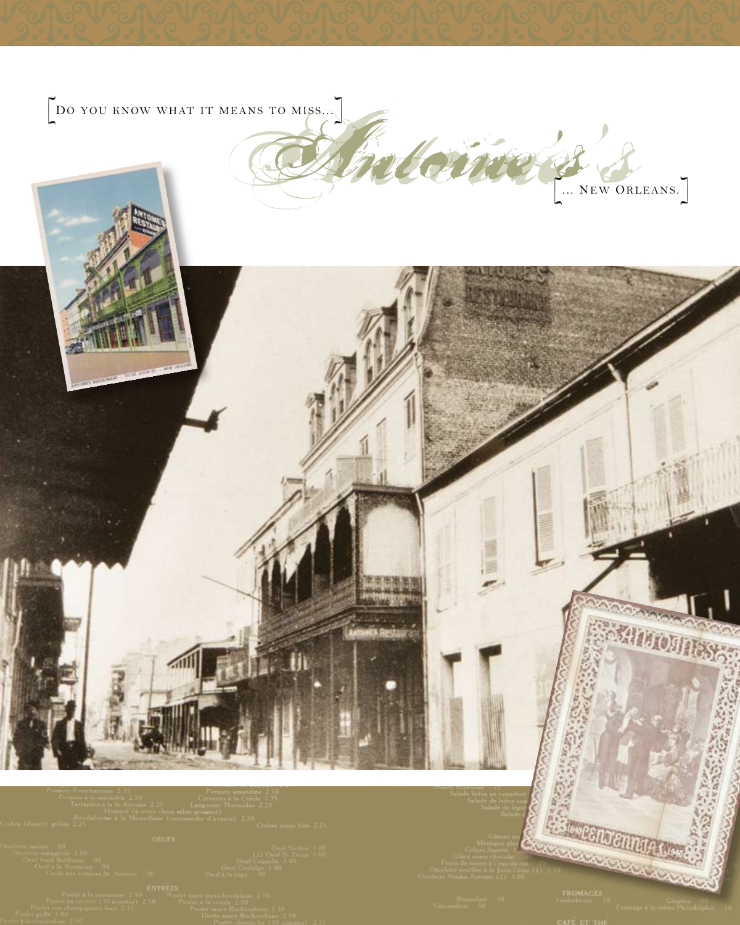